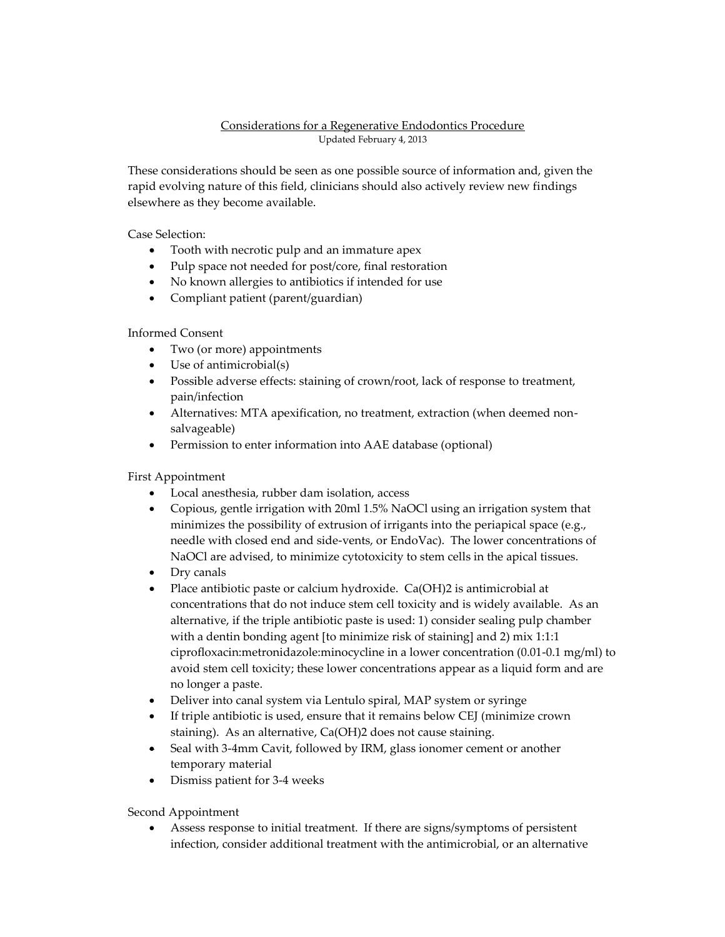## Considerations for a Regenerative Endodontics Procedure Updated February 4, 2013

These considerations should be seen as one possible source of information and, given the rapid evolving nature of this field, clinicians should also actively review new findings elsewhere as they become available.

Case Selection:

- Tooth with necrotic pulp and an immature apex
- Pulp space not needed for post/core, final restoration
- No known allergies to antibiotics if intended for use
- Compliant patient (parent/guardian)

Informed Consent

- Two (or more) appointments
- Use of antimicrobial(s)
- Possible adverse effects: staining of crown/root, lack of response to treatment, pain/infection
- Alternatives: MTA apexification, no treatment, extraction (when deemed nonsalvageable)
- Permission to enter information into AAE database (optional)

First Appointment

- Local anesthesia, rubber dam isolation, access
- Copious, gentle irrigation with 20ml 1.5% NaOCl using an irrigation system that minimizes the possibility of extrusion of irrigants into the periapical space (e.g., needle with closed end and side-vents, or EndoVac). The lower concentrations of NaOCl are advised, to minimize cytotoxicity to stem cells in the apical tissues.
- Dry canals
- Place antibiotic paste or calcium hydroxide. Ca(OH)2 is antimicrobial at concentrations that do not induce stem cell toxicity and is widely available. As an alternative, if the triple antibiotic paste is used: 1) consider sealing pulp chamber with a dentin bonding agent [to minimize risk of staining] and 2) mix 1:1:1 ciprofloxacin:metronidazole:minocycline in a lower concentration (0.01-0.1 mg/ml) to avoid stem cell toxicity; these lower concentrations appear as a liquid form and are no longer a paste.
- Deliver into canal system via Lentulo spiral, MAP system or syringe
- If triple antibiotic is used, ensure that it remains below CEJ (minimize crown staining). As an alternative, Ca(OH)2 does not cause staining.
- Seal with 3-4mm Cavit, followed by IRM, glass ionomer cement or another temporary material
- Dismiss patient for 3-4 weeks

Second Appointment

 Assess response to initial treatment. If there are signs/symptoms of persistent infection, consider additional treatment with the antimicrobial, or an alternative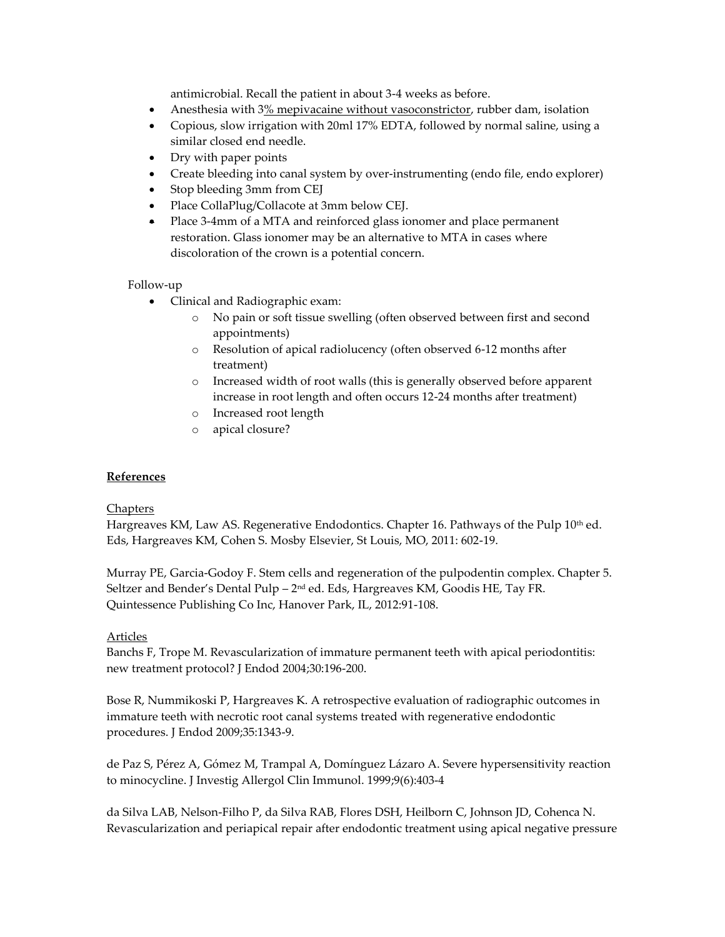antimicrobial. Recall the patient in about 3-4 weeks as before.

- Anesthesia with  $3\frac{\%}{\%}$  mepivacaine without vasoconstrictor, rubber dam, isolation
- Copious, slow irrigation with 20ml 17% EDTA, followed by normal saline, using a similar closed end needle.
- Dry with paper points
- Create bleeding into canal system by over-instrumenting (endo file, endo explorer)
- Stop bleeding 3mm from CEJ
- Place CollaPlug/Collacote at 3mm below CEJ.
- Place 3-4mm of a MTA and reinforced glass ionomer and place permanent restoration. Glass ionomer may be an alternative to MTA in cases where discoloration of the crown is a potential concern.

# Follow-up

- Clinical and Radiographic exam:
	- o No pain or soft tissue swelling (often observed between first and second appointments)
	- o Resolution of apical radiolucency (often observed 6-12 months after treatment)
	- o Increased width of root walls (this is generally observed before apparent increase in root length and often occurs 12-24 months after treatment)
	- o Increased root length
	- o apical closure?

# **References**

# Chapters

Hargreaves KM, Law AS. Regenerative Endodontics. Chapter 16. Pathways of the Pulp  $10<sup>th</sup>$  ed. Eds, Hargreaves KM, Cohen S. Mosby Elsevier, St Louis, MO, 2011: 602-19.

Murray PE, Garcia-Godoy F. Stem cells and regeneration of the pulpodentin complex. Chapter 5. Seltzer and Bender′s Dental Pulp – 2nd ed. Eds, Hargreaves KM, Goodis HE, Tay FR. Quintessence Publishing Co Inc, Hanover Park, IL, 2012:91-108.

# Articles

Banchs F, Trope M. Revascularization of immature permanent teeth with apical periodontitis: new treatment protocol? J Endod 2004;30:196-200.

Bose R, Nummikoski P, Hargreaves K. A retrospective evaluation of radiographic outcomes in immature teeth with necrotic root canal systems treated with regenerative endodontic procedures. J Endod 2009;35:1343-9.

de Paz S, Pérez A, Gómez M, Trampal A, Domínguez Lázaro A. Severe hypersensitivity reaction to minocycline. J Investig Allergol Clin Immunol. 1999;9(6):403-4

da Silva LAB, Nelson-Filho P, da Silva RAB, Flores DSH, Heilborn C, Johnson JD, Cohenca N. Revascularization and periapical repair after endodontic treatment using apical negative pressure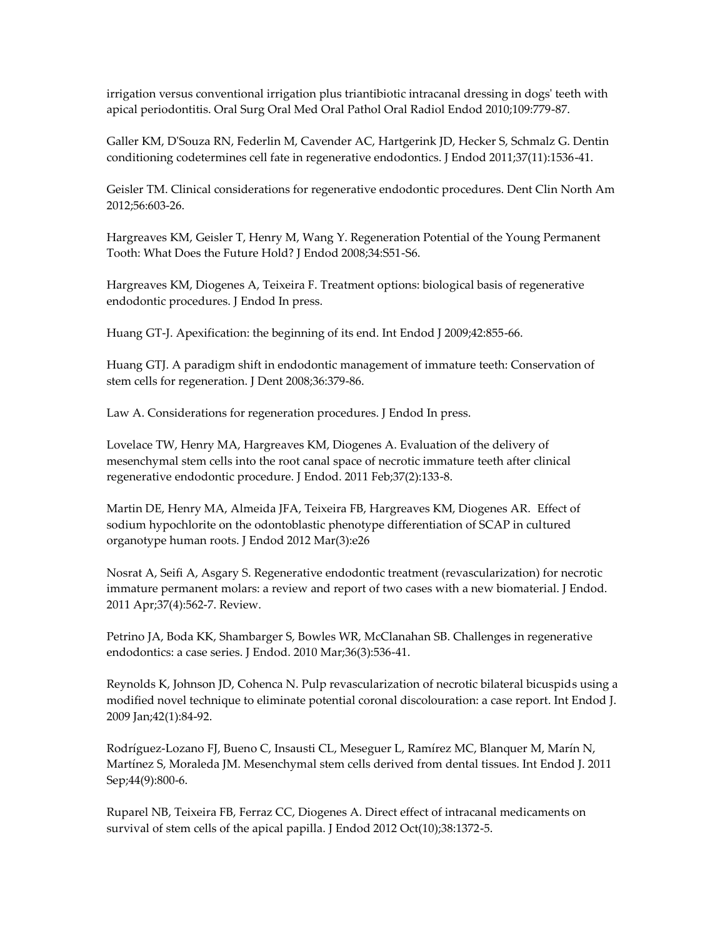irrigation versus conventional irrigation plus triantibiotic intracanal dressing in dogs' teeth with apical periodontitis. Oral Surg Oral Med Oral Pathol Oral Radiol Endod 2010;109:779-87.

Galler KM, D'Souza RN, Federlin M, Cavender AC, Hartgerink JD, Hecker S, Schmalz G. Dentin conditioning codetermines cell fate in regenerative endodontics. J Endod 2011;37(11):1536-41.

Geisler TM. Clinical considerations for regenerative endodontic procedures. Dent Clin North Am 2012;56:603-26.

Hargreaves KM, Geisler T, Henry M, Wang Y. Regeneration Potential of the Young Permanent Tooth: What Does the Future Hold? J Endod 2008;34:S51-S6.

Hargreaves KM, Diogenes A, Teixeira F. Treatment options: biological basis of regenerative endodontic procedures. J Endod In press.

Huang GT-J. Apexification: the beginning of its end. Int Endod J 2009;42:855-66.

Huang GTJ. A paradigm shift in endodontic management of immature teeth: Conservation of stem cells for regeneration. J Dent 2008;36:379-86.

Law A. Considerations for regeneration procedures. J Endod In press.

Lovelace TW, Henry MA, Hargreaves KM, Diogenes A. Evaluation of the delivery of mesenchymal stem cells into the root canal space of necrotic immature teeth after clinical regenerative endodontic procedure. J Endod. 2011 Feb;37(2):133-8.

Martin DE, Henry MA, Almeida JFA, Teixeira FB, Hargreaves KM, Diogenes AR. Effect of sodium hypochlorite on the odontoblastic phenotype differentiation of SCAP in cultured organotype human roots. J Endod 2012 Mar(3):e26

Nosrat A, Seifi A, Asgary S. Regenerative endodontic treatment (revascularization) for necrotic immature permanent molars: a review and report of two cases with a new biomaterial. J Endod. 2011 Apr;37(4):562-7. Review.

Petrino JA, Boda KK, Shambarger S, Bowles WR, McClanahan SB. Challenges in regenerative endodontics: a case series. J Endod. 2010 Mar;36(3):536-41.

Reynolds K, Johnson JD, Cohenca N. Pulp revascularization of necrotic bilateral bicuspids using a modified novel technique to eliminate potential coronal discolouration: a case report. Int Endod J. 2009 Jan;42(1):84-92.

Rodríguez-Lozano FJ, Bueno C, Insausti CL, Meseguer L, Ramírez MC, Blanquer M, Marín N, Martínez S, Moraleda JM. Mesenchymal stem cells derived from dental tissues. Int Endod J. 2011 Sep;44(9):800-6.

Ruparel NB, Teixeira FB, Ferraz CC, Diogenes A. Direct effect of intracanal medicaments on survival of stem cells of the apical papilla. J Endod 2012 Oct(10);38:1372-5.